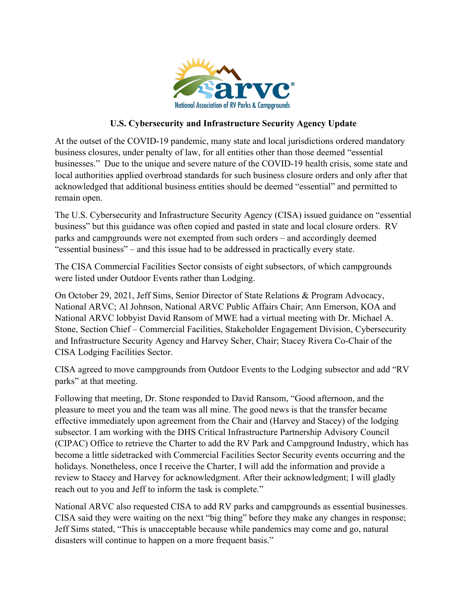

## **U.S. Cybersecurity and Infrastructure Security Agency Update**

At the outset of the COVID-19 pandemic, many state and local jurisdictions ordered mandatory business closures, under penalty of law, for all entities other than those deemed "essential businesses." Due to the unique and severe nature of the COVID-19 health crisis, some state and local authorities applied overbroad standards for such business closure orders and only after that acknowledged that additional business entities should be deemed "essential" and permitted to remain open.

The U.S. Cybersecurity and Infrastructure Security Agency (CISA) issued guidance on "essential business" but this guidance was often copied and pasted in state and local closure orders. RV parks and campgrounds were not exempted from such orders – and accordingly deemed "essential business" – and this issue had to be addressed in practically every state.

The CISA Commercial Facilities Sector consists of eight subsectors, of which campgrounds were listed under Outdoor Events rather than Lodging.

On October 29, 2021, Jeff Sims, Senior Director of State Relations & Program Advocacy, National ARVC; Al Johnson, National ARVC Public Affairs Chair; Ann Emerson, KOA and National ARVC lobbyist David Ransom of MWE had a virtual meeting with Dr. Michael A. Stone, Section Chief – Commercial Facilities, Stakeholder Engagement Division, Cybersecurity and Infrastructure Security Agency and Harvey Scher, Chair; Stacey Rivera Co-Chair of the CISA Lodging Facilities Sector.

CISA agreed to move campgrounds from Outdoor Events to the Lodging subsector and add "RV parks" at that meeting.

Following that meeting, Dr. Stone responded to David Ransom, "Good afternoon, and the pleasure to meet you and the team was all mine. The good news is that the transfer became effective immediately upon agreement from the Chair and (Harvey and Stacey) of the lodging subsector. I am working with the DHS Critical Infrastructure Partnership Advisory Council (CIPAC) Office to retrieve the Charter to add the RV Park and Campground Industry, which has become a little sidetracked with Commercial Facilities Sector Security events occurring and the holidays. Nonetheless, once I receive the Charter, I will add the information and provide a review to Stacey and Harvey for acknowledgment. After their acknowledgment; I will gladly reach out to you and Jeff to inform the task is complete."

National ARVC also requested CISA to add RV parks and campgrounds as essential businesses. CISA said they were waiting on the next "big thing" before they make any changes in response; Jeff Sims stated, "This is unacceptable because while pandemics may come and go, natural disasters will continue to happen on a more frequent basis."